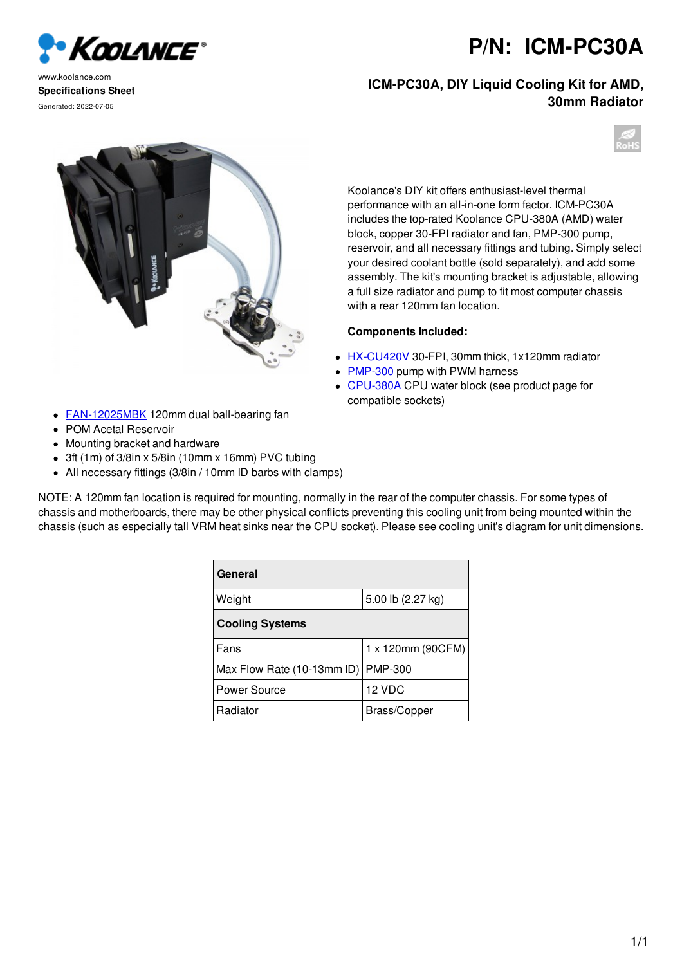

www.koolance.com **Specifications Sheet** Generated: 2022-07-05

## **ICM-PC30A, DIY Liquid Cooling Kit for AMD, 30mm Radiator**





Koolance's DIY kit offers enthusiast-level thermal performance with an all-in-one form factor. ICM-PC30A includes the top-rated Koolance CPU-380A (AMD) water block, copper 30-FPI radiator and fan, PMP-300 pump, reservoir, and all necessary fittings and tubing. Simply select your desired coolant bottle (sold separately), and add some assembly. The kit's mounting bracket is adjustable, allowing a full size radiator and pump to fit most computer chassis with a rear 120mm fan location.

## **Components Included:**

- HX-CU420V 30-FPI, 30mm thick, 1x120mm radiator
- **PMP-300 pump with PWM harness**
- CPU-380A CPU water block (see product page for compatible sockets)
- **FAN-12025MBK** 120mm dual ball-bearing fan
- POM Acetal Reservoir
- Mounting bracket and hardware
- 3ft (1m) of 3/8in x 5/8in (10mm x 16mm) PVC tubing
- All necessary fittings (3/8in / 10mm ID barbs with clamps)

NOTE: A 120mm fan location is required for mounting, normally in the rear of the computer chassis. For some types of chassis and motherboards, there may be other physical conflicts preventing this cooling unit from being mounted within the chassis (such as especially tall VRM heat sinks near the CPU socket). Please see cooling unit's diagram for unit dimensions.

| General                    |                   |
|----------------------------|-------------------|
| Weight                     | 5.00 lb (2.27 kg) |
| <b>Cooling Systems</b>     |                   |
| Fans                       | 1 x 120mm (90CFM) |
| Max Flow Rate (10-13mm ID) | <b>PMP-300</b>    |
| Power Source               | 12 VDC            |
| Radiator                   | Brass/Copper      |